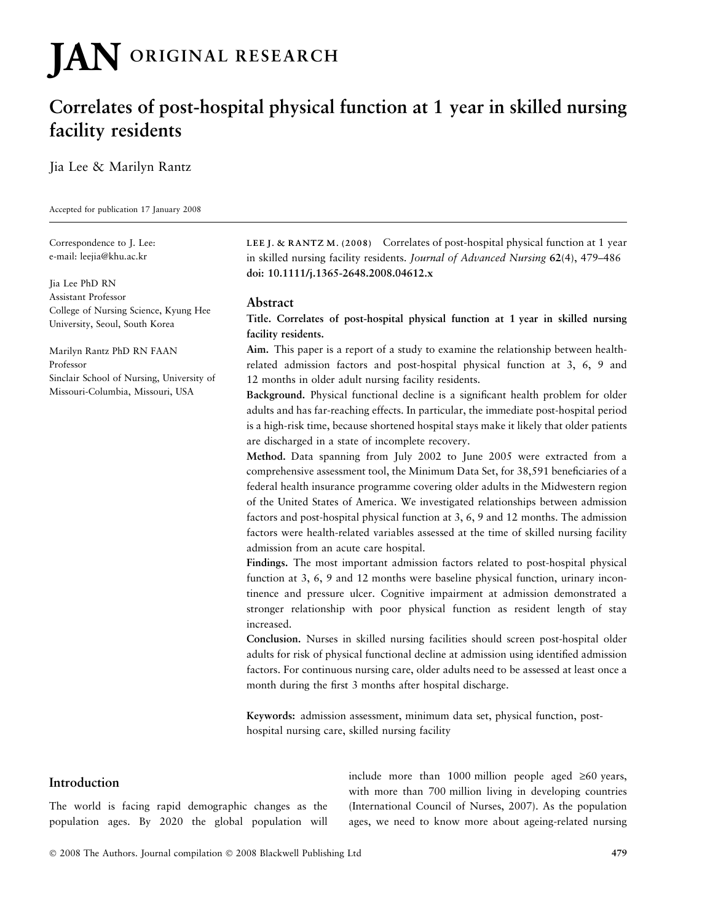# **JAN** ORIGINAL RESEARCH

# Correlates of post-hospital physical function at 1 year in skilled nursing facility residents

# Jia Lee & Marilyn Rantz

Accepted for publication 17 January 2008

Correspondence to J. Lee: e-mail: leejia@khu.ac.kr

Jia Lee PhD RN Assistant Professor College of Nursing Science, Kyung Hee University, Seoul, South Korea

Marilyn Rantz PhD RN FAAN Professor Sinclair School of Nursing, University of Missouri-Columbia, Missouri, USA

LEE J. & RANTZ M. (2008) Correlates of post-hospital physical function at 1 year in skilled nursing facility residents. Journal of Advanced Nursing 62(4), 479–486 doi: 10.1111/j.1365-2648.2008.04612.x

#### Abstract

Title. Correlates of post-hospital physical function at 1 year in skilled nursing facility residents.

Aim. This paper is a report of a study to examine the relationship between healthrelated admission factors and post-hospital physical function at 3, 6, 9 and 12 months in older adult nursing facility residents.

Background. Physical functional decline is a significant health problem for older adults and has far-reaching effects. In particular, the immediate post-hospital period is a high-risk time, because shortened hospital stays make it likely that older patients are discharged in a state of incomplete recovery.

Method. Data spanning from July 2002 to June 2005 were extracted from a comprehensive assessment tool, the Minimum Data Set, for 38,591 beneficiaries of a federal health insurance programme covering older adults in the Midwestern region of the United States of America. We investigated relationships between admission factors and post-hospital physical function at 3, 6, 9 and 12 months. The admission factors were health-related variables assessed at the time of skilled nursing facility admission from an acute care hospital.

Findings. The most important admission factors related to post-hospital physical function at 3, 6, 9 and 12 months were baseline physical function, urinary incontinence and pressure ulcer. Cognitive impairment at admission demonstrated a stronger relationship with poor physical function as resident length of stay increased.

Conclusion. Nurses in skilled nursing facilities should screen post-hospital older adults for risk of physical functional decline at admission using identified admission factors. For continuous nursing care, older adults need to be assessed at least once a month during the first 3 months after hospital discharge.

Keywords: admission assessment, minimum data set, physical function, posthospital nursing care, skilled nursing facility

# Introduction

The world is facing rapid demographic changes as the population ages. By 2020 the global population will include more than 1000 million people aged  $\geq 60$  years, with more than 700 million living in developing countries (International Council of Nurses, 2007). As the population ages, we need to know more about ageing-related nursing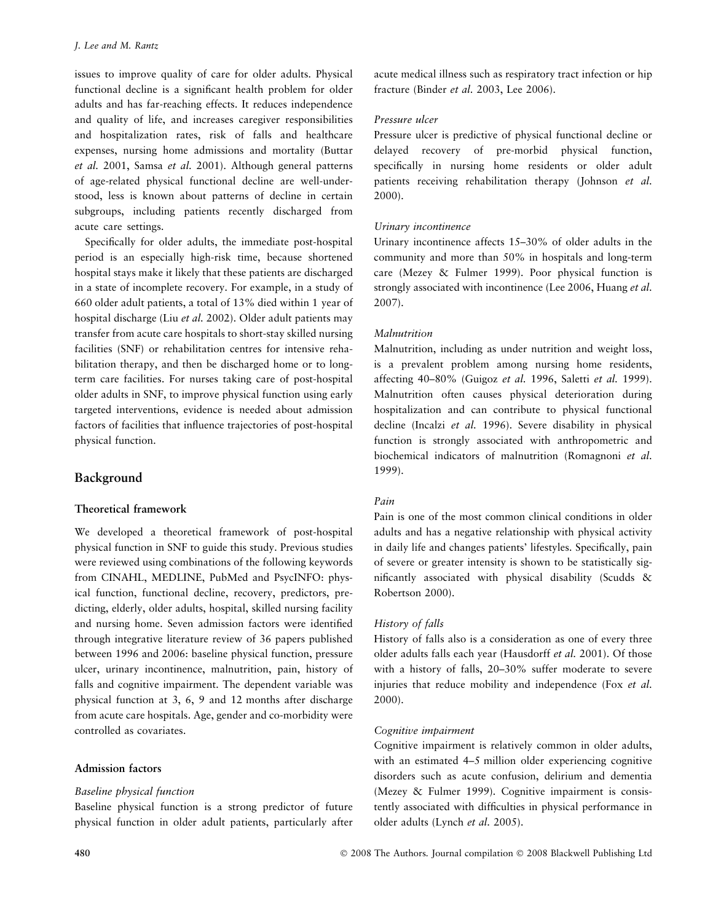issues to improve quality of care for older adults. Physical functional decline is a significant health problem for older adults and has far-reaching effects. It reduces independence and quality of life, and increases caregiver responsibilities and hospitalization rates, risk of falls and healthcare expenses, nursing home admissions and mortality (Buttar et al. 2001, Samsa et al. 2001). Although general patterns of age-related physical functional decline are well-understood, less is known about patterns of decline in certain subgroups, including patients recently discharged from acute care settings.

Specifically for older adults, the immediate post-hospital period is an especially high-risk time, because shortened hospital stays make it likely that these patients are discharged in a state of incomplete recovery. For example, in a study of 660 older adult patients, a total of 13% died within 1 year of hospital discharge (Liu et al. 2002). Older adult patients may transfer from acute care hospitals to short-stay skilled nursing facilities (SNF) or rehabilitation centres for intensive rehabilitation therapy, and then be discharged home or to longterm care facilities. For nurses taking care of post-hospital older adults in SNF, to improve physical function using early targeted interventions, evidence is needed about admission factors of facilities that influence trajectories of post-hospital physical function.

## Background

#### Theoretical framework

We developed a theoretical framework of post-hospital physical function in SNF to guide this study. Previous studies were reviewed using combinations of the following keywords from CINAHL, MEDLINE, PubMed and PsycINFO: physical function, functional decline, recovery, predictors, predicting, elderly, older adults, hospital, skilled nursing facility and nursing home. Seven admission factors were identified through integrative literature review of 36 papers published between 1996 and 2006: baseline physical function, pressure ulcer, urinary incontinence, malnutrition, pain, history of falls and cognitive impairment. The dependent variable was physical function at 3, 6, 9 and 12 months after discharge from acute care hospitals. Age, gender and co-morbidity were controlled as covariates.

### Admission factors

#### Baseline physical function

Baseline physical function is a strong predictor of future physical function in older adult patients, particularly after acute medical illness such as respiratory tract infection or hip fracture (Binder et al. 2003, Lee 2006).

#### Pressure ulcer

Pressure ulcer is predictive of physical functional decline or delayed recovery of pre-morbid physical function, specifically in nursing home residents or older adult patients receiving rehabilitation therapy (Johnson et al. 2000).

#### Urinary incontinence

Urinary incontinence affects 15–30% of older adults in the community and more than 50% in hospitals and long-term care (Mezey & Fulmer 1999). Poor physical function is strongly associated with incontinence (Lee 2006, Huang et al. 2007).

#### Malnutrition

Malnutrition, including as under nutrition and weight loss, is a prevalent problem among nursing home residents, affecting 40–80% (Guigoz et al. 1996, Saletti et al. 1999). Malnutrition often causes physical deterioration during hospitalization and can contribute to physical functional decline (Incalzi et al. 1996). Severe disability in physical function is strongly associated with anthropometric and biochemical indicators of malnutrition (Romagnoni et al. 1999).

#### Pain

Pain is one of the most common clinical conditions in older adults and has a negative relationship with physical activity in daily life and changes patients' lifestyles. Specifically, pain of severe or greater intensity is shown to be statistically significantly associated with physical disability (Scudds & Robertson 2000).

#### History of falls

History of falls also is a consideration as one of every three older adults falls each year (Hausdorff et al. 2001). Of those with a history of falls, 20–30% suffer moderate to severe injuries that reduce mobility and independence (Fox et al. 2000).

#### Cognitive impairment

Cognitive impairment is relatively common in older adults, with an estimated 4–5 million older experiencing cognitive disorders such as acute confusion, delirium and dementia (Mezey & Fulmer 1999). Cognitive impairment is consistently associated with difficulties in physical performance in older adults (Lynch et al. 2005).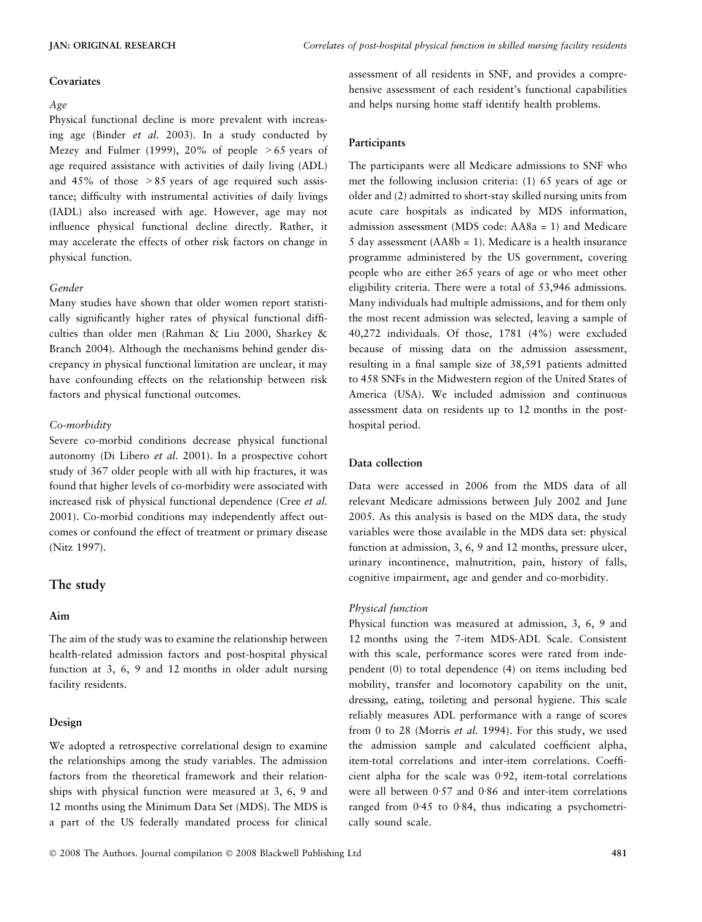#### Covariates

# Age

Physical functional decline is more prevalent with increasing age (Binder et al. 2003). In a study conducted by Mezey and Fulmer (1999),  $20\%$  of people  $\geq 65$  years of age required assistance with activities of daily living (ADL) and  $45\%$  of those  $>85$  years of age required such assistance; difficulty with instrumental activities of daily livings (IADL) also increased with age. However, age may not influence physical functional decline directly. Rather, it may accelerate the effects of other risk factors on change in physical function.

#### Gender

Many studies have shown that older women report statistically significantly higher rates of physical functional difficulties than older men (Rahman & Liu 2000, Sharkey & Branch 2004). Although the mechanisms behind gender discrepancy in physical functional limitation are unclear, it may have confounding effects on the relationship between risk factors and physical functional outcomes.

#### Co-morbidity

Severe co-morbid conditions decrease physical functional autonomy (Di Libero et al. 2001). In a prospective cohort study of 367 older people with all with hip fractures, it was found that higher levels of co-morbidity were associated with increased risk of physical functional dependence (Cree et al. 2001). Co-morbid conditions may independently affect outcomes or confound the effect of treatment or primary disease (Nitz 1997).

# The study

#### Aim

The aim of the study was to examine the relationship between health-related admission factors and post-hospital physical function at 3, 6, 9 and 12 months in older adult nursing facility residents.

#### Design

We adopted a retrospective correlational design to examine the relationships among the study variables. The admission factors from the theoretical framework and their relationships with physical function were measured at 3, 6, 9 and 12 months using the Minimum Data Set (MDS). The MDS is a part of the US federally mandated process for clinical assessment of all residents in SNF, and provides a comprehensive assessment of each resident's functional capabilities and helps nursing home staff identify health problems.

#### Participants

The participants were all Medicare admissions to SNF who met the following inclusion criteria: (1) 65 years of age or older and (2) admitted to short-stay skilled nursing units from acute care hospitals as indicated by MDS information, admission assessment (MDS code: AA8a = 1) and Medicare 5 day assessment  $(AABb = 1)$ . Medicare is a health insurance programme administered by the US government, covering people who are either  $\geq 65$  years of age or who meet other eligibility criteria. There were a total of 53,946 admissions. Many individuals had multiple admissions, and for them only the most recent admission was selected, leaving a sample of 40,272 individuals. Of those, 1781 (4%) were excluded because of missing data on the admission assessment, resulting in a final sample size of 38,591 patients admitted to 458 SNFs in the Midwestern region of the United States of America (USA). We included admission and continuous assessment data on residents up to 12 months in the posthospital period.

#### Data collection

Data were accessed in 2006 from the MDS data of all relevant Medicare admissions between July 2002 and June 2005. As this analysis is based on the MDS data, the study variables were those available in the MDS data set: physical function at admission, 3, 6, 9 and 12 months, pressure ulcer, urinary incontinence, malnutrition, pain, history of falls, cognitive impairment, age and gender and co-morbidity.

#### Physical function

Physical function was measured at admission, 3, 6, 9 and 12 months using the 7-item MDS-ADL Scale. Consistent with this scale, performance scores were rated from independent (0) to total dependence (4) on items including bed mobility, transfer and locomotory capability on the unit, dressing, eating, toileting and personal hygiene. This scale reliably measures ADL performance with a range of scores from 0 to 28 (Morris et al. 1994). For this study, we used the admission sample and calculated coefficient alpha, item-total correlations and inter-item correlations. Coefficient alpha for the scale was  $0.92$ , item-total correlations were all between  $0.57$  and  $0.86$  and inter-item correlations ranged from  $0.45$  to  $0.84$ , thus indicating a psychometrically sound scale.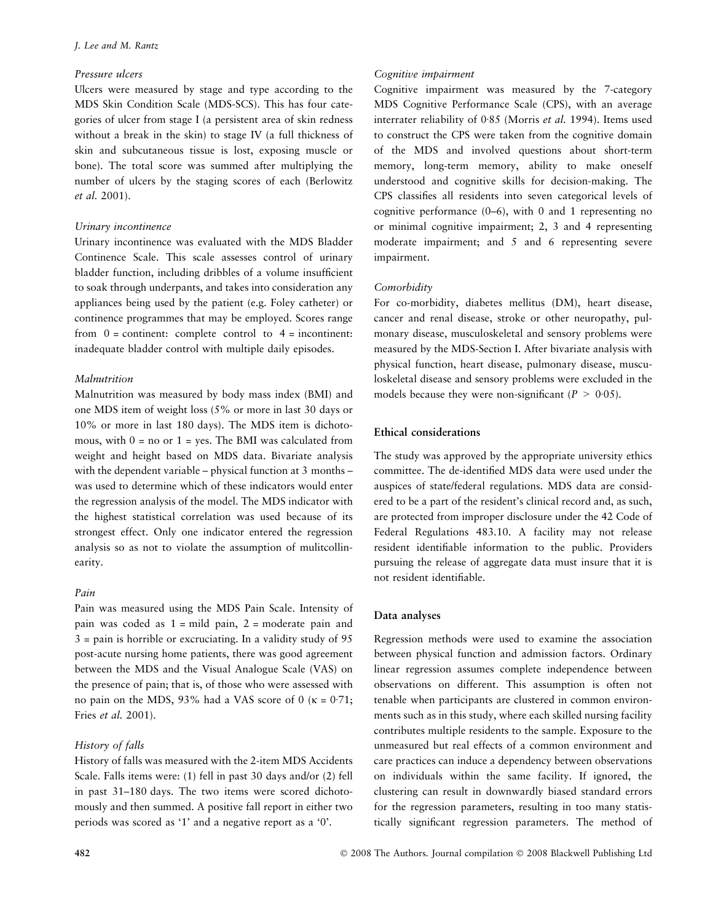#### Pressure ulcers

Ulcers were measured by stage and type according to the MDS Skin Condition Scale (MDS-SCS). This has four categories of ulcer from stage I (a persistent area of skin redness without a break in the skin) to stage IV (a full thickness of skin and subcutaneous tissue is lost, exposing muscle or bone). The total score was summed after multiplying the number of ulcers by the staging scores of each (Berlowitz et al. 2001).

#### Urinary incontinence

Urinary incontinence was evaluated with the MDS Bladder Continence Scale. This scale assesses control of urinary bladder function, including dribbles of a volume insufficient to soak through underpants, and takes into consideration any appliances being used by the patient (e.g. Foley catheter) or continence programmes that may be employed. Scores range from  $0 =$  continent: complete control to  $4 =$  incontinent: inadequate bladder control with multiple daily episodes.

#### Malnutrition

Malnutrition was measured by body mass index (BMI) and one MDS item of weight loss (5% or more in last 30 days or 10% or more in last 180 days). The MDS item is dichotomous, with  $0 = no$  or  $1 = yes$ . The BMI was calculated from weight and height based on MDS data. Bivariate analysis with the dependent variable – physical function at 3 months – was used to determine which of these indicators would enter the regression analysis of the model. The MDS indicator with the highest statistical correlation was used because of its strongest effect. Only one indicator entered the regression analysis so as not to violate the assumption of mulitcollinearity.

#### Pain

Pain was measured using the MDS Pain Scale. Intensity of pain was coded as  $1 = \text{mild pain}$ ,  $2 = \text{moderate pain}$  and  $3$  = pain is horrible or excruciating. In a validity study of 95 post-acute nursing home patients, there was good agreement between the MDS and the Visual Analogue Scale (VAS) on the presence of pain; that is, of those who were assessed with no pain on the MDS, 93% had a VAS score of 0 ( $\kappa = 0.71$ ; Fries et al. 2001).

#### History of falls

History of falls was measured with the 2-item MDS Accidents Scale. Falls items were: (1) fell in past 30 days and/or (2) fell in past 31–180 days. The two items were scored dichotomously and then summed. A positive fall report in either two periods was scored as '1' and a negative report as a '0'.

#### Cognitive impairment

Cognitive impairment was measured by the 7-category MDS Cognitive Performance Scale (CPS), with an average interrater reliability of 0.85 (Morris et al. 1994). Items used to construct the CPS were taken from the cognitive domain of the MDS and involved questions about short-term memory, long-term memory, ability to make oneself understood and cognitive skills for decision-making. The CPS classifies all residents into seven categorical levels of cognitive performance  $(0-6)$ , with 0 and 1 representing no or minimal cognitive impairment; 2, 3 and 4 representing moderate impairment; and 5 and 6 representing severe impairment.

#### Comorbidity

For co-morbidity, diabetes mellitus (DM), heart disease, cancer and renal disease, stroke or other neuropathy, pulmonary disease, musculoskeletal and sensory problems were measured by the MDS-Section I. After bivariate analysis with physical function, heart disease, pulmonary disease, musculoskeletal disease and sensory problems were excluded in the models because they were non-significant ( $P > 0.05$ ).

#### Ethical considerations

The study was approved by the appropriate university ethics committee. The de-identified MDS data were used under the auspices of state/federal regulations. MDS data are considered to be a part of the resident's clinical record and, as such, are protected from improper disclosure under the 42 Code of Federal Regulations 483.10. A facility may not release resident identifiable information to the public. Providers pursuing the release of aggregate data must insure that it is not resident identifiable.

#### Data analyses

Regression methods were used to examine the association between physical function and admission factors. Ordinary linear regression assumes complete independence between observations on different. This assumption is often not tenable when participants are clustered in common environments such as in this study, where each skilled nursing facility contributes multiple residents to the sample. Exposure to the unmeasured but real effects of a common environment and care practices can induce a dependency between observations on individuals within the same facility. If ignored, the clustering can result in downwardly biased standard errors for the regression parameters, resulting in too many statistically significant regression parameters. The method of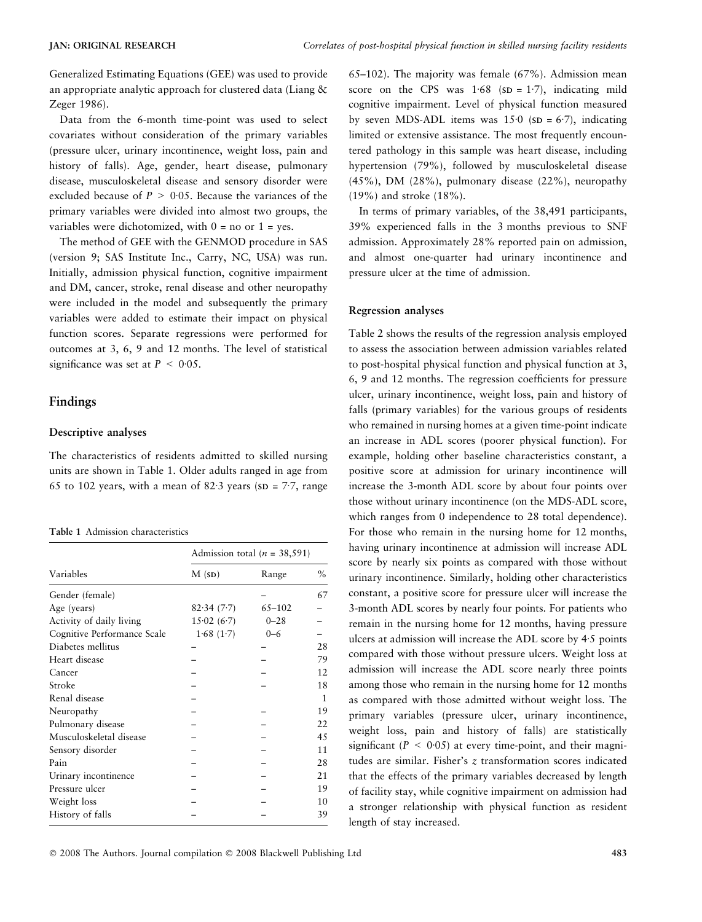Generalized Estimating Equations (GEE) was used to provide an appropriate analytic approach for clustered data (Liang & Zeger 1986).

Data from the 6-month time-point was used to select covariates without consideration of the primary variables (pressure ulcer, urinary incontinence, weight loss, pain and history of falls). Age, gender, heart disease, pulmonary disease, musculoskeletal disease and sensory disorder were excluded because of  $P > 0.05$ . Because the variances of the primary variables were divided into almost two groups, the variables were dichotomized, with  $0 = no$  or  $1 = yes$ .

The method of GEE with the GENMOD procedure in SAS (version 9; SAS Institute Inc., Carry, NC, USA) was run. Initially, admission physical function, cognitive impairment and DM, cancer, stroke, renal disease and other neuropathy were included in the model and subsequently the primary variables were added to estimate their impact on physical function scores. Separate regressions were performed for outcomes at 3, 6, 9 and 12 months. The level of statistical significance was set at  $P < 0.05$ .

#### Findings

#### Descriptive analyses

The characteristics of residents admitted to skilled nursing units are shown in Table 1. Older adults ranged in age from 65 to 102 years, with a mean of 82 $\cdot$ 3 years (sp = 7 $\cdot$ 7, range

|  |  | Table 1 Admission characteristics |
|--|--|-----------------------------------|
|--|--|-----------------------------------|

|                             | Admission total ( $n = 38,591$ ) |            |      |
|-----------------------------|----------------------------------|------------|------|
| Variables                   | $M$ (sp)                         | Range      | $\%$ |
| Gender (female)             |                                  |            | 67   |
| Age (years)                 | 82.34(7.7)                       | $65 - 102$ |      |
| Activity of daily living    | 15.02(6.7)                       | $0 - 28$   |      |
| Cognitive Performance Scale | 1.68(1.7)                        | $0 - 6$    |      |
| Diabetes mellitus           |                                  |            | 28   |
| Heart disease               |                                  |            | 79   |
| Cancer                      |                                  |            | 12.  |
| Stroke                      |                                  |            | 18   |
| Renal disease               |                                  |            | 1    |
| Neuropathy                  |                                  |            | 19   |
| Pulmonary disease           |                                  |            | 22   |
| Musculoskeletal disease     |                                  |            | 45   |
| Sensory disorder            |                                  |            | 11   |
| Pain                        |                                  |            | 28   |
| Urinary incontinence        |                                  |            | 21   |
| Pressure ulcer              |                                  |            | 19   |
| Weight loss                 |                                  |            | 10   |
| History of falls            |                                  |            | 39   |

65–102). The majority was female (67%). Admission mean score on the CPS was  $1.68$  (sp = 1.7), indicating mild cognitive impairment. Level of physical function measured by seven MDS-ADL items was  $15.0$  (sp = 6.7), indicating limited or extensive assistance. The most frequently encountered pathology in this sample was heart disease, including hypertension (79%), followed by musculoskeletal disease (45%), DM (28%), pulmonary disease (22%), neuropathy (19%) and stroke (18%).

In terms of primary variables, of the 38,491 participants, 39% experienced falls in the 3 months previous to SNF admission. Approximately 28% reported pain on admission, and almost one-quarter had urinary incontinence and pressure ulcer at the time of admission.

#### Regression analyses

Table 2 shows the results of the regression analysis employed to assess the association between admission variables related to post-hospital physical function and physical function at 3, 6, 9 and 12 months. The regression coefficients for pressure ulcer, urinary incontinence, weight loss, pain and history of falls (primary variables) for the various groups of residents who remained in nursing homes at a given time-point indicate an increase in ADL scores (poorer physical function). For example, holding other baseline characteristics constant, a positive score at admission for urinary incontinence will increase the 3-month ADL score by about four points over those without urinary incontinence (on the MDS-ADL score, which ranges from 0 independence to 28 total dependence). For those who remain in the nursing home for 12 months, having urinary incontinence at admission will increase ADL score by nearly six points as compared with those without urinary incontinence. Similarly, holding other characteristics constant, a positive score for pressure ulcer will increase the 3-month ADL scores by nearly four points. For patients who remain in the nursing home for 12 months, having pressure ulcers at admission will increase the ADL score by 4.5 points compared with those without pressure ulcers. Weight loss at admission will increase the ADL score nearly three points among those who remain in the nursing home for 12 months as compared with those admitted without weight loss. The primary variables (pressure ulcer, urinary incontinence, weight loss, pain and history of falls) are statistically significant ( $P < 0.05$ ) at every time-point, and their magnitudes are similar. Fisher's z transformation scores indicated that the effects of the primary variables decreased by length of facility stay, while cognitive impairment on admission had a stronger relationship with physical function as resident length of stay increased.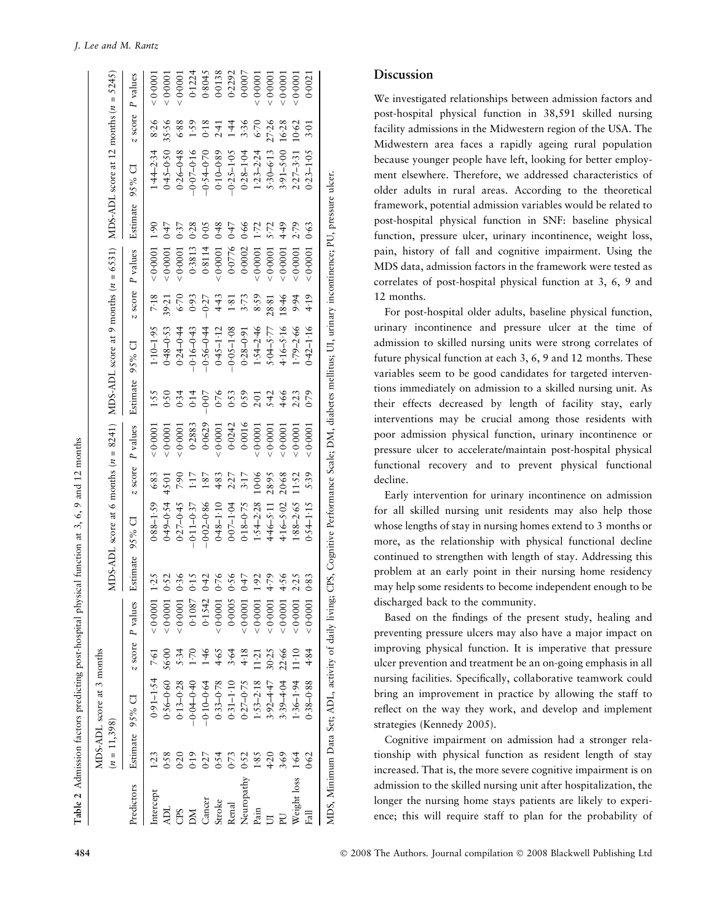|             |                 | MDS-ADL score at 3 months                             |           |                      |                 |                                                                                                        |          |                      |                 |                                          |          |                      |                 |                                         |          |                  |
|-------------|-----------------|-------------------------------------------------------|-----------|----------------------|-----------------|--------------------------------------------------------------------------------------------------------|----------|----------------------|-----------------|------------------------------------------|----------|----------------------|-----------------|-----------------------------------------|----------|------------------|
|             | $(n = 11,398)$  |                                                       |           |                      |                 | MDS-ADL score at 6 months ( $n = 8241$ )                                                               |          |                      |                 | MDS-ADL score at 9 months ( $n = 6531$ ) |          |                      |                 | MDS-ADL score at 12 months $(n = 5245)$ |          |                  |
| Predictors  | Estimate 95% CI |                                                       |           | $z$ score $P$ values | Estimate 95% CI |                                                                                                        |          | $z$ score $P$ values | Estimate 95% CI |                                          |          | $z$ score $P$ values | Estimate 95% CI |                                         |          | z score P values |
| ntercept    | 1.23            | $0.91 - 1.54$ 7.61                                    |           | 0.0001               | 1.25            | $0.88 - 1.59$                                                                                          | 6.83     | 0.0001               | 1.55            | $1.10 - 1.95$                            | 7.18     | $0.0001$ 1.90        |                 | $1.44 - 2.34$ 8.26                      |          | (0.0005)         |
| Σ           | 0.58            | $0.56 - 0.60$ 56.00                                   |           | 100001               | 0.52            | $0.49 - 0.54$                                                                                          | 45.01    | 100000               | 0.50            | $0.48 - 0.53$                            | 39.21    | 100000               | 0.47            | $0.45 - 0.50$                           | 35.56    | 100000           |
| CPS         | 0.20            | $0.13 - 0.28$                                         | 5.34      | 100000               | 0.36            | $0.27 - 0.45$                                                                                          | $06 - 2$ | 100000               | 0.34            | $0.24 - 0.44$                            | $6 - 70$ | 100000               | 0.37            | $0.26 - 0.48$                           | 6.88     | 0.0001           |
| ÞМ          | 0.19            | $0.04 - 0.40$                                         | 1.70      | 0.1087               | 0.15            | $-0.11 - 0.37$                                                                                         | 1:T      | 0.2883               | 0.14            | $-0.16 - 0.43$                           | 0.93     | 0.3813               | 0.28            | $-0.07 - 0.16$                          | 1.59     | 0.1224           |
| Cancer      | 0.27            | $0.10 - 0.64$                                         | 1.46      | 0.1542               | 0.42            | $-0.02 - 0.86$                                                                                         | 1.87     | 0.0629               | $-0.07$         | $-0.56 - 0.44$                           | $-0.27$  | 0.8114               | 0.05            | $-0.54 - 0.70$                          | 0.18     | 0.8045           |
| Stroke      | 0.54            | $0.33 - 0.78$                                         | 4.65      | 100000               | 0.76            | $0.48 - 1.10$                                                                                          | 4.83     | 100000               | 0.76            | $0.45 - 1.12$                            | 4.43     | 100001               | 0.48            | $0.10 - 0.89$                           | 2.41     | 0.0138           |
| Renal       | 0.73            | $0.1 - 1.30$                                          | 3.64      | 0.0005               | 0.56            | $0.07 - 1.04$                                                                                          | 2.27     | 0.0242               | 0.53            | $-0.05 - 1.08$                           | 1.81     | 0.0776               | 0.47            | $-0.25 - 1.05$                          | 1.44     | 0.2292           |
| Neuropathy  | 0.52            | $0 - 27 - 0.75$                                       | 4.18      | 100000               | 0.47            | $0.18 - 0.75$                                                                                          | 3.17     | 0.0016               | 0.59            | $0 - 8 - 0.91$                           | 3.73     | 0.0002               | 0.66            | $0.28 - 1.04$                           | 3.36     | 0.0007           |
| Pain        | 1.85            | $1.53 - 2.18$                                         | 11.21     | 100000               | 1.92            | $1.54 - 2.28$                                                                                          | 10.06    | 0.0001               | 2.01            | $1.54 - 2.46$                            | 8.59     | 100000:              | I·72            | $1.23 - 2.24$                           | $6 - 70$ | 100000           |
|             | 4.20            | $3.92 - 4.47$                                         | $30 - 25$ | 100001               | 4.79            | $4.46 - 5.11$                                                                                          | 28.95    | 0.0001               | 5.42            | $5.04 - 5.77$                            | 28.81    | 100000               | 5.72            | $5.30 - 6.13$                           | 27-26    | 100000           |
|             | 3.69            | $3.39 - 4.04$                                         | 22.66     | 100001               | 4.56            | $4.16 - 5.02$                                                                                          | 20.68    | 0.000                | 4.66            | $4.16 - 5.16$                            | 18.46    | $-0.0001$            | 4.49            | $3.91 - 5.00$                           | 16.28    | 0.0001           |
| Weight loss | 1.64            | $1.36 - 1.94$                                         | 11:10     | 100000               | 2.25            | $1.88 - 2.65$                                                                                          | 11.52    | 0.0001               | 2.23            | $1.79 - 2.66$                            | 9.94     | 0.0001               | 2.79            | $2.27 - 3.31$ 10.62                     |          | 0.000            |
| Нall        | 0.62            | $0.38 - 0.88$                                         | 4.84      | 100000               | 0.83            | $0.54 - 1.15$                                                                                          | 5.39     | $-0.0001$            | 0.79            | $0.42 - 1.16$                            | 4.19     | 100001               | 0.63            | $0.23 - 1.05$                           | 3.01     | 0.0021           |
|             |                 | MDS, Minimum Data Set; ADL, activity of daily living; |           |                      |                 | CPS, Cognitive Performance Scale; DM, diabetes mellitus; UI, urinary incontinence; PU, pressure ulcer. |          |                      |                 |                                          |          |                      |                 |                                         |          |                  |

### Discussion

We investigated relationships between admission factors and post-hospital physical function in 38,591 skilled nursing facility admissions in the Midwestern region of the USA. The Midwestern area faces a rapidly ageing rural population because younger people have left, looking for better employment elsewhere. Therefore, we addressed characteristics of older adults in rural areas. According to the theoretical framework, potential admission variables would be related to post-hospital physical function in SNF: baseline physical function, pressure ulcer, urinary incontinence, weight loss, pain, history of fall and cognitive impairment. Using the MDS data, admission factors in the framework were tested as correlates of post-hospital physical function at 3, 6, 9 and 12 months.

For post-hospital older adults, baseline physical function, urinary incontinence and pressure ulcer at the time of admission to skilled nursing units were strong correlates of future physical function at each 3, 6, 9 and 12 months. These variables seem to be good candidates for targeted interventions immediately on admission to a skilled nursing unit. As their effects decreased by length of facility stay, early interventions may be crucial among those residents with poor admission physical function, urinary incontinence or pressure ulcer to accelerate/maintain post-hospital physical functional recovery and to prevent physical functional decline.

Early intervention for urinary incontinence on admission for all skilled nursing unit residents may also help those whose lengths of stay in nursing homes extend to 3 months or more, as the relationship with physical functional decline continued to strengthen with length of stay. Addressing this problem at an early point in their nursing home residency may help some residents to become independent enough to be discharged back to the community.

Based on the findings of the present study, healing and preventing pressure ulcers may also have a major impact on improving physical function. It is imperative that pressure ulcer prevention and treatment be an on-going emphasis in all nursing facilities. Specifically, collaborative teamwork could bring an improvement in practice by allowing the staff to reflect on the way they work, and develop and implement strategies (Kennedy 2005).

Cognitive impairment on admission had a stronger relationship with physical function as resident length of stay increased. That is, the more severe cognitive impairment is on admission to the skilled nursing unit after hospitalization, the longer the nursing home stays patients are likely to experience; this will require staff to plan for the probability of

Table 2 Admission factors predicting post-hospital physical function at 3, 6, 9 and 12 months

Table 2 Admission factors predicting post-hospital physical function at 3, 6, 9 and 12 months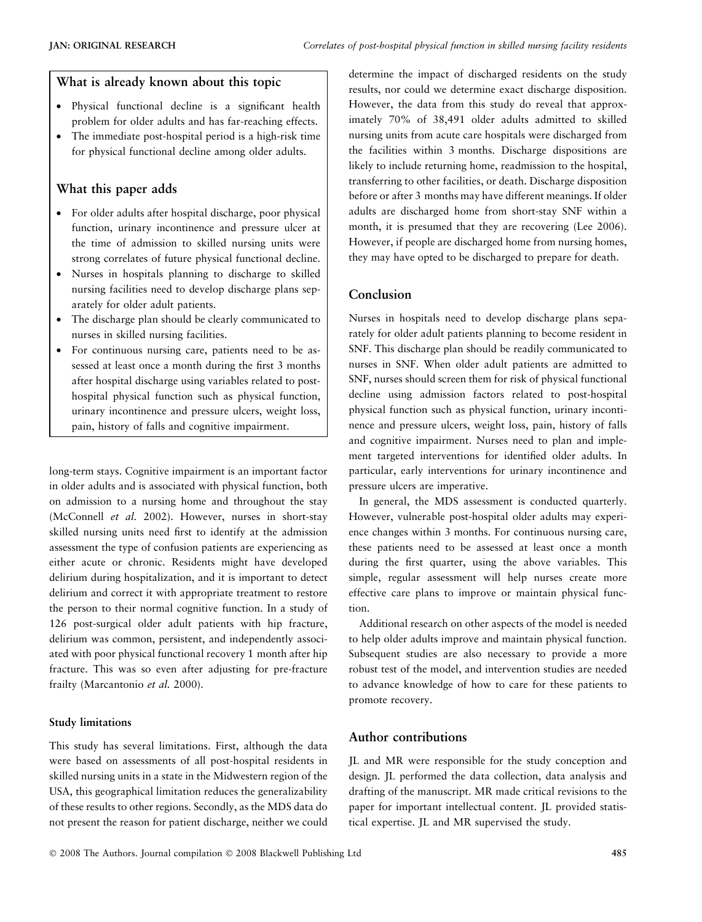# What is already known about this topic

- Physical functional decline is a significant health problem for older adults and has far-reaching effects.
- The immediate post-hospital period is a high-risk time for physical functional decline among older adults.

# What this paper adds

- For older adults after hospital discharge, poor physical function, urinary incontinence and pressure ulcer at the time of admission to skilled nursing units were strong correlates of future physical functional decline.
- Nurses in hospitals planning to discharge to skilled nursing facilities need to develop discharge plans separately for older adult patients.
- The discharge plan should be clearly communicated to nurses in skilled nursing facilities.
- For continuous nursing care, patients need to be assessed at least once a month during the first 3 months after hospital discharge using variables related to posthospital physical function such as physical function, urinary incontinence and pressure ulcers, weight loss, pain, history of falls and cognitive impairment.

long-term stays. Cognitive impairment is an important factor in older adults and is associated with physical function, both on admission to a nursing home and throughout the stay (McConnell et al. 2002). However, nurses in short-stay skilled nursing units need first to identify at the admission assessment the type of confusion patients are experiencing as either acute or chronic. Residents might have developed delirium during hospitalization, and it is important to detect delirium and correct it with appropriate treatment to restore the person to their normal cognitive function. In a study of 126 post-surgical older adult patients with hip fracture, delirium was common, persistent, and independently associated with poor physical functional recovery 1 month after hip fracture. This was so even after adjusting for pre-fracture frailty (Marcantonio et al. 2000).

# Study limitations

This study has several limitations. First, although the data were based on assessments of all post-hospital residents in skilled nursing units in a state in the Midwestern region of the USA, this geographical limitation reduces the generalizability of these results to other regions. Secondly, as the MDS data do not present the reason for patient discharge, neither we could determine the impact of discharged residents on the study results, nor could we determine exact discharge disposition. However, the data from this study do reveal that approximately 70% of 38,491 older adults admitted to skilled nursing units from acute care hospitals were discharged from the facilities within 3 months. Discharge dispositions are likely to include returning home, readmission to the hospital, transferring to other facilities, or death. Discharge disposition before or after 3 months may have different meanings. If older adults are discharged home from short-stay SNF within a month, it is presumed that they are recovering (Lee 2006). However, if people are discharged home from nursing homes, they may have opted to be discharged to prepare for death.

# Conclusion

Nurses in hospitals need to develop discharge plans separately for older adult patients planning to become resident in SNF. This discharge plan should be readily communicated to nurses in SNF. When older adult patients are admitted to SNF, nurses should screen them for risk of physical functional decline using admission factors related to post-hospital physical function such as physical function, urinary incontinence and pressure ulcers, weight loss, pain, history of falls and cognitive impairment. Nurses need to plan and implement targeted interventions for identified older adults. In particular, early interventions for urinary incontinence and pressure ulcers are imperative.

In general, the MDS assessment is conducted quarterly. However, vulnerable post-hospital older adults may experience changes within 3 months. For continuous nursing care, these patients need to be assessed at least once a month during the first quarter, using the above variables. This simple, regular assessment will help nurses create more effective care plans to improve or maintain physical function.

Additional research on other aspects of the model is needed to help older adults improve and maintain physical function. Subsequent studies are also necessary to provide a more robust test of the model, and intervention studies are needed to advance knowledge of how to care for these patients to promote recovery.

# Author contributions

JL and MR were responsible for the study conception and design. JL performed the data collection, data analysis and drafting of the manuscript. MR made critical revisions to the paper for important intellectual content. JL provided statistical expertise. JL and MR supervised the study.